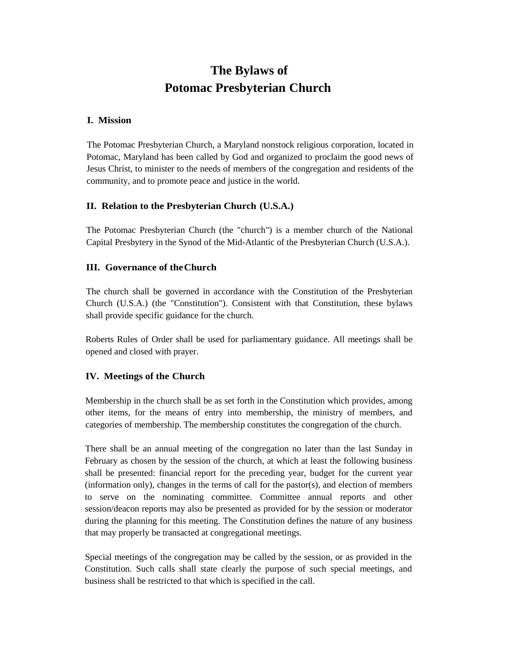# **The Bylaws of Potomac Presbyterian Church**

#### **I. Mission**

The Potomac Presbyterian Church, a Maryland nonstock religious corporation, located in Potomac, Maryland has been called by God and organized to proclaim the good news of Jesus Christ, to minister to the needs of members of the congregation and residents of the community, and to promote peace and justice in the world.

## **II. Relation to the Presbyterian Church (U.S.A.)**

The Potomac Presbyterian Church (the "church") is a member church of the National Capital Presbytery in the Synod of the Mid-Atlantic of the Presbyterian Church (U.S.A.).

## **III. Governance of theChurch**

The church shall be governed in accordance with the Constitution of the Presbyterian Church (U.S.A.) (the "Constitution"). Consistent with that Constitution, these bylaws shall provide specific guidance for the church.

Roberts Rules of Order shall be used for parliamentary guidance. All meetings shall be opened and closed with prayer.

## **IV. Meetings of the Church**

Membership in the church shall be as set forth in the Constitution which provides, among other items, for the means of entry into membership, the ministry of members, and categories of membership. The membership constitutes the congregation of the church.

There shall be an annual meeting of the congregation no later than the last Sunday in February as chosen by the session of the church, at which at least the following business shall be presented: financial report for the preceding year, budget for the current year (information only), changes in the terms of call for the pastor(s), and election of members to serve on the nominating committee. Committee annual reports and other session/deacon reports may also be presented as provided for by the session or moderator during the planning for this meeting. The Constitution defines the nature of any business that may properly be transacted at congregational meetings.

Special meetings of the congregation may be called by the session, or as provided in the Constitution. Such calls shall state clearly the purpose of such special meetings, and business shall be restricted to that which is specified in the call.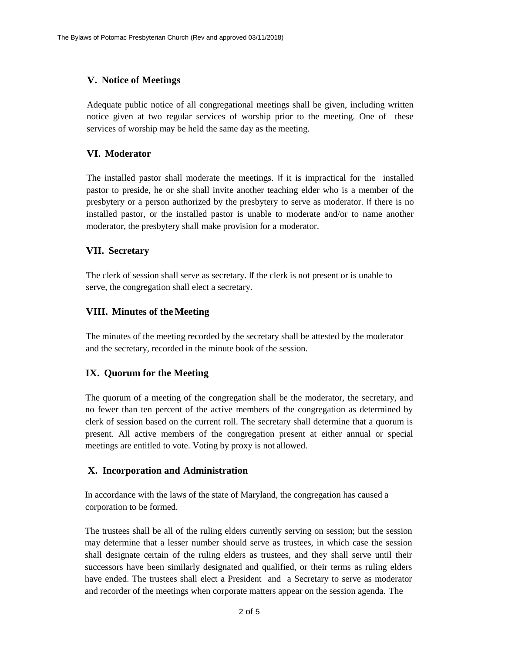## **V. Notice of Meetings**

Adequate public notice of all congregational meetings shall be given, including written notice given at two regular services of worship prior to the meeting. One of these services of worship may be held the same day as the meeting.

## **VI. Moderator**

The installed pastor shall moderate the meetings. If it is impractical for the installed pastor to preside, he or she shall invite another teaching elder who is a member of the presbytery or a person authorized by the presbytery to serve as moderator. If there is no installed pastor, or the installed pastor is unable to moderate and/or to name another moderator, the presbytery shall make provision for a moderator.

## **VII. Secretary**

The clerk of session shall serve as secretary. If the clerk is not present or is unable to serve, the congregation shall elect a secretary.

## **VIII. Minutes of theMeeting**

The minutes of the meeting recorded by the secretary shall be attested by the moderator and the secretary, recorded in the minute book of the session.

## **IX. Quorum for the Meeting**

The quorum of a meeting of the congregation shall be the moderator, the secretary, and no fewer than ten percent of the active members of the congregation as determined by clerk of session based on the current roll. The secretary shall determine that a quorum is present. All active members of the congregation present at either annual or special meetings are entitled to vote. Voting by proxy is not allowed.

## **X. Incorporation and Administration**

In accordance with the laws of the state of Maryland, the congregation has caused a corporation to be formed.

The trustees shall be all of the ruling elders currently serving on session; but the session may determine that a lesser number should serve as trustees, in which case the session shall designate certain of the ruling elders as trustees, and they shall serve until their successors have been similarly designated and qualified, or their terms as ruling elders have ended. The trustees shall elect a President and a Secretary to serve as moderator and recorder of the meetings when corporate matters appear on the session agenda. The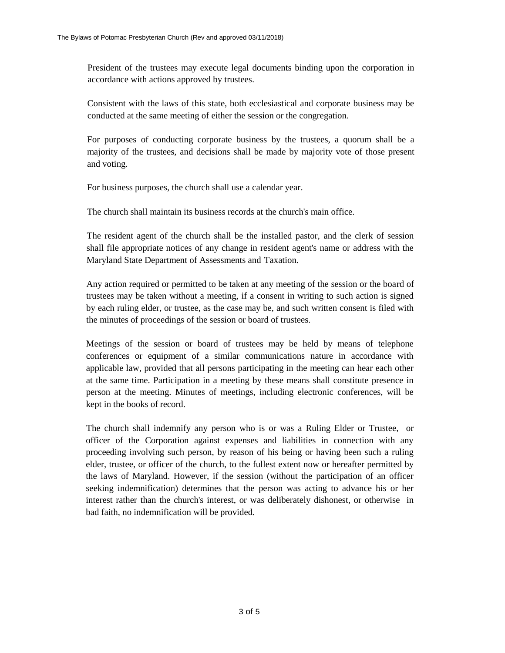President of the trustees may execute legal documents binding upon the corporation in accordance with actions approved by trustees.

Consistent with the laws of this state, both ecclesiastical and corporate business may be conducted at the same meeting of either the session or the congregation.

For purposes of conducting corporate business by the trustees, a quorum shall be a majority of the trustees, and decisions shall be made by majority vote of those present and voting.

For business purposes, the church shall use a calendar year.

The church shall maintain its business records at the church's main office.

The resident agent of the church shall be the installed pastor, and the clerk of session shall file appropriate notices of any change in resident agent's name or address with the Maryland State Department of Assessments and Taxation.

Any action required or permitted to be taken at any meeting of the session or the board of trustees may be taken without a meeting, if a consent in writing to such action is signed by each ruling elder, or trustee, as the case may be, and such written consent is filed with the minutes of proceedings of the session or board of trustees.

Meetings of the session or board of trustees may be held by means of telephone conferences or equipment of a similar communications nature in accordance with applicable law, provided that all persons participating in the meeting can hear each other at the same time. Participation in a meeting by these means shall constitute presence in person at the meeting. Minutes of meetings, including electronic conferences, will be kept in the books of record.

The church shall indemnify any person who is or was a Ruling Elder or Trustee, or officer of the Corporation against expenses and liabilities in connection with any proceeding involving such person, by reason of his being or having been such a ruling elder, trustee, or officer of the church, to the fullest extent now or hereafter permitted by the laws of Maryland. However, if the session (without the participation of an officer seeking indemnification) determines that the person was acting to advance his or her interest rather than the church's interest, or was deliberately dishonest, or otherwise in bad faith, no indemnification will be provided.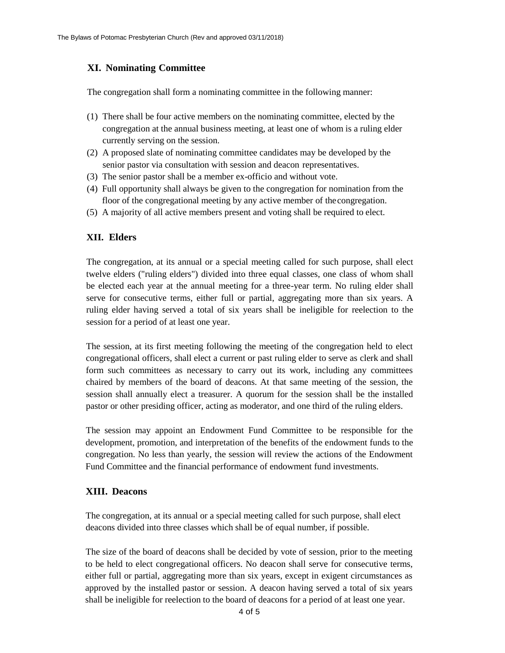## **XI. Nominating Committee**

The congregation shall form a nominating committee in the following manner:

- (1) There shall be four active members on the nominating committee, elected by the congregation at the annual business meeting, at least one of whom is a ruling elder currently serving on the session.
- (2) A proposed slate of nominating committee candidates may be developed by the senior pastor via consultation with session and deacon representatives.
- (3) The senior pastor shall be a member ex-officio and without vote.
- (4) Full opportunity shall always be given to the congregation for nomination from the floor of the congregational meeting by any active member of thecongregation.
- (5) A majority of all active members present and voting shall be required to elect.

#### **XII. Elders**

The congregation, at its annual or a special meeting called for such purpose, shall elect twelve elders ("ruling elders") divided into three equal classes, one class of whom shall be elected each year at the annual meeting for a three-year term. No ruling elder shall serve for consecutive terms, either full or partial, aggregating more than six years. A ruling elder having served a total of six years shall be ineligible for reelection to the session for a period of at least one year.

The session, at its first meeting following the meeting of the congregation held to elect congregational officers, shall elect a current or past ruling elder to serve as clerk and shall form such committees as necessary to carry out its work, including any committees chaired by members of the board of deacons. At that same meeting of the session, the session shall annually elect a treasurer. A quorum for the session shall be the installed pastor or other presiding officer, acting as moderator, and one third of the ruling elders.

The session may appoint an Endowment Fund Committee to be responsible for the development, promotion, and interpretation of the benefits of the endowment funds to the congregation. No less than yearly, the session will review the actions of the Endowment Fund Committee and the financial performance of endowment fund investments.

#### **XIII. Deacons**

The congregation, at its annual or a special meeting called for such purpose, shall elect deacons divided into three classes which shall be of equal number, if possible.

The size of the board of deacons shall be decided by vote of session, prior to the meeting to be held to elect congregational officers. No deacon shall serve for consecutive terms, either full or partial, aggregating more than six years, except in exigent circumstances as approved by the installed pastor or session. A deacon having served a total of six years shall be ineligible for reelection to the board of deacons for a period of at least one year.